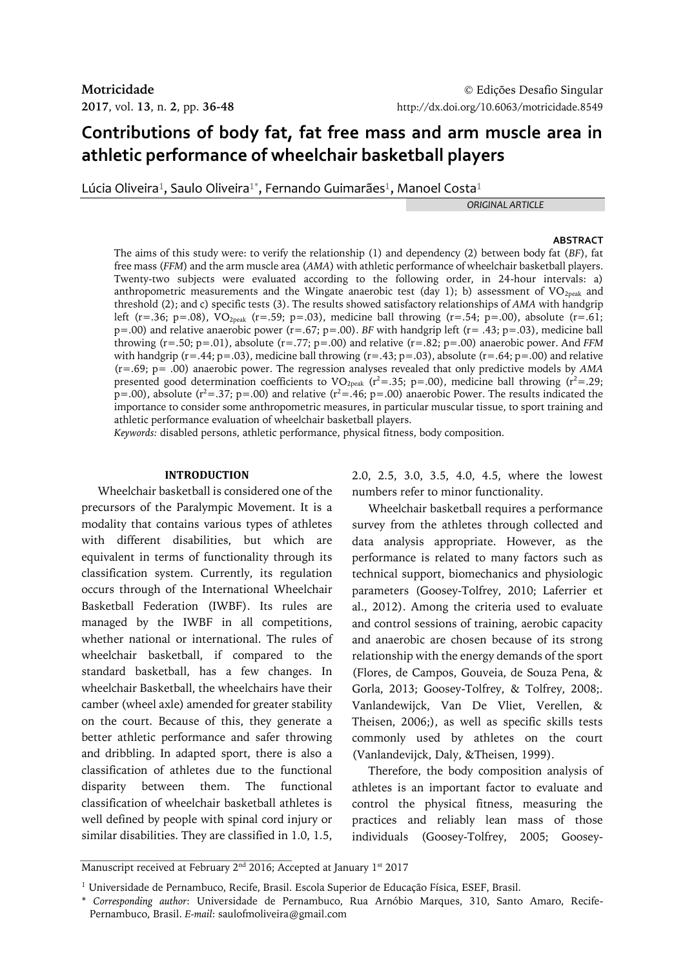# **Contributions of body fat, fat free mass and arm muscle area in athletic performance of wheelchair basketball players**

Lúcia Oliveira $^1$ , Saulo Oliveira $^{1^\ast}$ , Fernando Guimarães $^1$ , Manoel Costa $^1$ 

*ORIGINAL ARTICLE*

### **ABSTRACT**

The aims of this study were: to verify the relationship (1) and dependency (2) between body fat (*BF*), fat free mass (*FFM*) and the arm muscle area (*AMA*) with athletic performance of wheelchair basketball players. Twenty-two subjects were evaluated according to the following order, in 24-hour intervals: a) anthropometric measurements and the Wingate anaerobic test (day 1); b) assessment of  $VO_{2\text{peak}}$  and threshold (2); and c) specific tests (3). The results showed satisfactory relationships of *AMA* with handgrip left (r=.36; p=.08), VO<sub>2peak</sub> (r=.59; p=.03), medicine ball throwing (r=.54; p=.00), absolute (r=.61; p=.00) and relative anaerobic power (r=.67; p=.00). *BF* with handgrip left (r= .43; p=.03), medicine ball throwing (r=.50; p=.01), absolute (r=.77; p=.00) and relative (r=.82; p=.00) anaerobic power. And *FFM* with handgrip ( $r = .44$ ;  $p = .03$ ), medicine ball throwing ( $r = .43$ ;  $p = .03$ ), absolute ( $r = .64$ ;  $p = .00$ ) and relative (r=.69; p= .00) anaerobic power. The regression analyses revealed that only predictive models by *AMA* presented good determination coefficients to VO<sub>2peak</sub> ( $r^2$ =.35; p=.00), medicine ball throwing ( $r^2$ =.29;  $p=0.00$ ), absolute ( $r^2=.37$ ;  $p=.00$ ) and relative ( $r^2=.46$ ;  $p=.00$ ) anaerobic Power. The results indicated the importance to consider some anthropometric measures, in particular muscular tissue, to sport training and athletic performance evaluation of wheelchair basketball players.

*Keywords:* disabled persons, athletic performance, physical fitness, body composition.

### **INTRODUCTION**

Wheelchair basketball is considered one of the precursors of the Paralympic Movement. It is a modality that contains various types of athletes with different disabilities, but which are equivalent in terms of functionality through its classification system. Currently, its regulation occurs through of the International Wheelchair Basketball Federation (IWBF). Its rules are managed by the IWBF in all competitions, whether national or international. The rules of wheelchair basketball, if compared to the standard basketball, has a few changes. In wheelchair Basketball, the wheelchairs have their camber (wheel axle) amended for greater stability on the court. Because of this, they generate a better athletic performance and safer throwing and dribbling. In adapted sport, there is also a classification of athletes due to the functional disparity between them. The functional classification of wheelchair basketball athletes is well defined by people with spinal cord injury or similar disabilities. They are classified in 1.0, 1.5, 2.0, 2.5, 3.0, 3.5, 4.0, 4.5, where the lowest numbers refer to minor functionality.

Wheelchair basketball requires a performance survey from the athletes through collected and data analysis appropriate. However, as the performance is related to many factors such as technical support, biomechanics and physiologic parameters (Goosey-Tolfrey, 2010; Laferrier et al., 2012). Among the criteria used to evaluate and control sessions of training, aerobic capacity and anaerobic are chosen because of its strong relationship with the energy demands of the sport (Flores, de Campos, Gouveia, de Souza Pena, & Gorla, 2013; Goosey-Tolfrey, & Tolfrey, 2008;. Vanlandewijck, Van De Vliet, Verellen, & Theisen, 2006;), as well as specific skills tests commonly used by athletes on the court (Vanlandevijck, Daly, &Theisen, 1999).

Therefore, the body composition analysis of athletes is an important factor to evaluate and control the physical fitness, measuring the practices and reliably lean mass of those individuals (Goosey-Tolfrey, 2005; Goosey-

Manuscript received at February 2 $^{\rm{nd}}$  2016; Accepted at January 1 $^{\rm{st}}$  2017

<sup>1</sup> Universidade de Pernambuco, Recife, Brasil. Escola Superior de Educação Física, ESEF, Brasil.

<sup>\*</sup> *Corresponding author*: Universidade de Pernambuco, Rua Arnóbio Marques, 310, Santo Amaro, Recife-Pernambuco, Brasil. *E-mail*: saulofmoliveira@gmail.com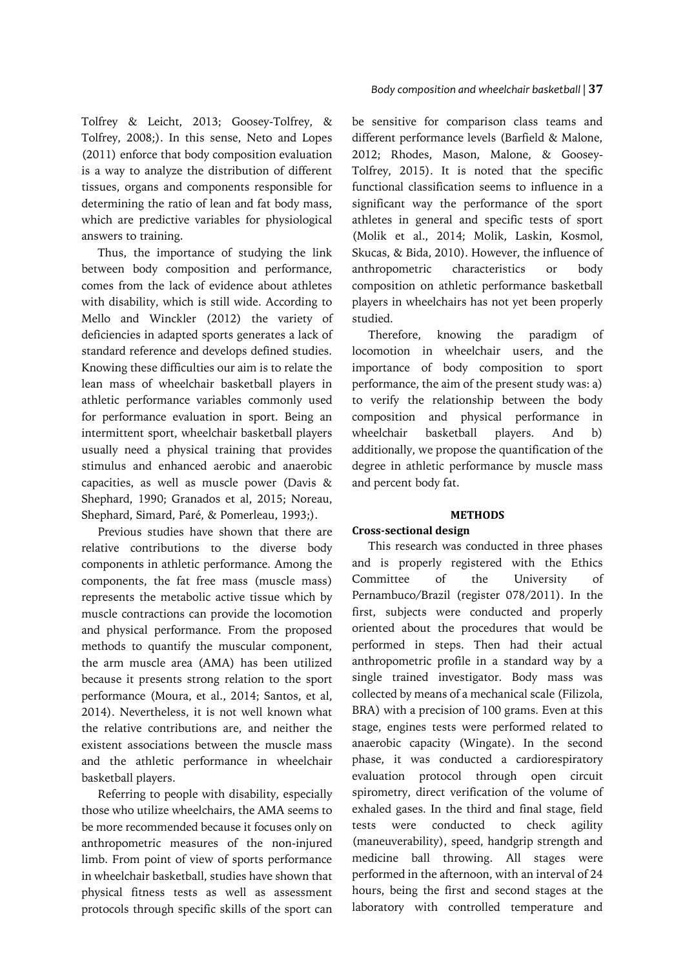Tolfrey & Leicht, 2013; Goosey-Tolfrey, & Tolfrey, 2008;). In this sense, Neto and Lopes (2011) enforce that body composition evaluation is a way to analyze the distribution of different tissues, organs and components responsible for determining the ratio of lean and fat body mass, which are predictive variables for physiological answers to training.

Thus, the importance of studying the link between body composition and performance, comes from the lack of evidence about athletes with disability, which is still wide. According to Mello and Winckler (2012) the variety of deficiencies in adapted sports generates a lack of standard reference and develops defined studies. Knowing these difficulties our aim is to relate the lean mass of wheelchair basketball players in athletic performance variables commonly used for performance evaluation in sport. Being an intermittent sport, wheelchair basketball players usually need a physical training that provides stimulus and enhanced aerobic and anaerobic capacities, as well as muscle power (Davis & Shephard, 1990; Granados et al, 2015; Noreau, Shephard, Simard, Paré, & Pomerleau, 1993;).

Previous studies have shown that there are relative contributions to the diverse body components in athletic performance. Among the components, the fat free mass (muscle mass) represents the metabolic active tissue which by muscle contractions can provide the locomotion and physical performance. From the proposed methods to quantify the muscular component, the arm muscle area (AMA) has been utilized because it presents strong relation to the sport performance (Moura, et al., 2014; Santos, et al, 2014). Nevertheless, it is not well known what the relative contributions are, and neither the existent associations between the muscle mass and the athletic performance in wheelchair basketball players.

Referring to people with disability, especially those who utilize wheelchairs, the AMA seems to be more recommended because it focuses only on anthropometric measures of the non-injured limb. From point of view of sports performance in wheelchair basketball, studies have shown that physical fitness tests as well as assessment protocols through specific skills of the sport can

### *Body composition and wheelchair basketball |* **37**

be sensitive for comparison class teams and different performance levels (Barfield & Malone, 2012; Rhodes, Mason, Malone, & Goosey-Tolfrey, 2015). It is noted that the specific functional classification seems to influence in a significant way the performance of the sport athletes in general and specific tests of sport (Molik et al., 2014; Molik, Laskin, Kosmol, Skucas, & Bida, 2010). However, the influence of anthropometric characteristics or body composition on athletic performance basketball players in wheelchairs has not yet been properly studied.

Therefore, knowing the paradigm of locomotion in wheelchair users, and the importance of body composition to sport performance, the aim of the present study was: a) to verify the relationship between the body composition and physical performance in wheelchair basketball players. And b) additionally, we propose the quantification of the degree in athletic performance by muscle mass and percent body fat.

### **METHODS**

### **Cross-sectional design**

This research was conducted in three phases and is properly registered with the Ethics Committee of the University of Pernambuco/Brazil (register 078/2011). In the first, subjects were conducted and properly oriented about the procedures that would be performed in steps. Then had their actual anthropometric profile in a standard way by a single trained investigator. Body mass was collected by means of a mechanical scale (Filizola, BRA) with a precision of 100 grams. Even at this stage, engines tests were performed related to anaerobic capacity (Wingate). In the second phase, it was conducted a cardiorespiratory evaluation protocol through open circuit spirometry, direct verification of the volume of exhaled gases. In the third and final stage, field tests were conducted to check agility (maneuverability), speed, handgrip strength and medicine ball throwing. All stages were performed in the afternoon, with an interval of 24 hours, being the first and second stages at the laboratory with controlled temperature and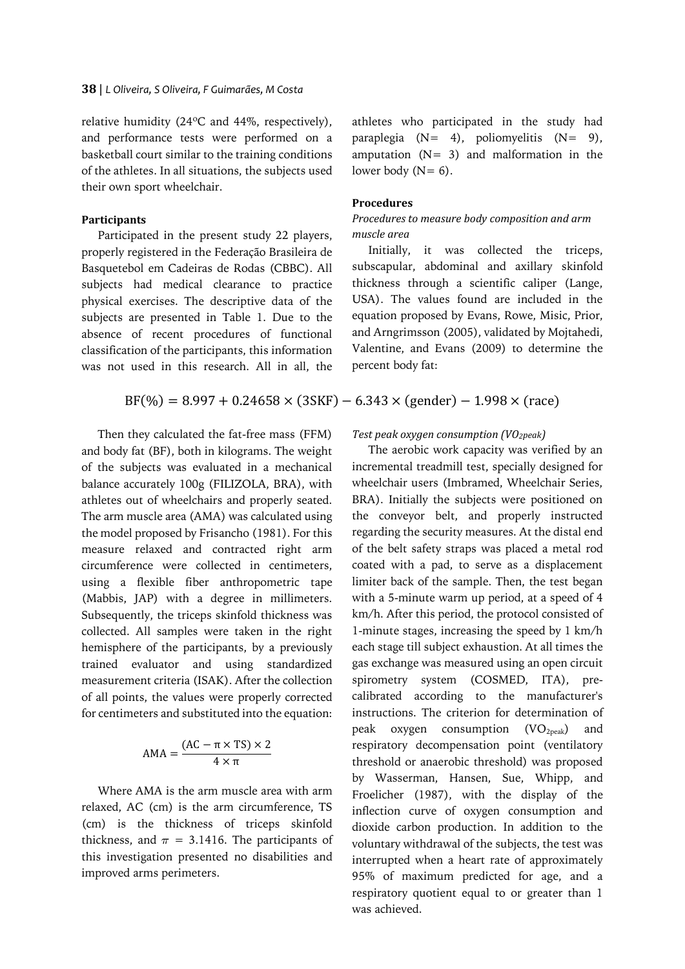relative humidity (24ºC and 44%, respectively), and performance tests were performed on a basketball court similar to the training conditions of the athletes. In all situations, the subjects used their own sport wheelchair.

### **Participants**

Participated in the present study 22 players, properly registered in the Federação Brasileira de Basquetebol em Cadeiras de Rodas (CBBC). All subjects had medical clearance to practice physical exercises. The descriptive data of the subjects are presented in Table 1. Due to the absence of recent procedures of functional classification of the participants, this information was not used in this research. All in all, the

 $BF(\%)=8.997 + 0.24658 \times (3SKF) - 6.343 \times (gender) - 1.998 \times (race)$ 

Then they calculated the fat-free mass (FFM) and body fat (BF), both in kilograms. The weight of the subjects was evaluated in a mechanical balance accurately 100g (FILIZOLA, BRA), with athletes out of wheelchairs and properly seated. The arm muscle area (AMA) was calculated using the model proposed by Frisancho (1981). For this measure relaxed and contracted right arm circumference were collected in centimeters, using a flexible fiber anthropometric tape (Mabbis, JAP) with a degree in millimeters. Subsequently, the triceps skinfold thickness was collected. All samples were taken in the right hemisphere of the participants, by a previously trained evaluator and using standardized measurement criteria (ISAK). After the collection of all points, the values were properly corrected for centimeters and substituted into the equation:

$$
AMA = \frac{(AC - \pi \times TS) \times 2}{4 \times \pi}
$$

Where AMA is the arm muscle area with arm relaxed, AC (cm) is the arm circumference, TS (cm) is the thickness of triceps skinfold thickness, and  $\pi = 3.1416$ . The participants of this investigation presented no disabilities and improved arms perimeters.

athletes who participated in the study had paraplegia (N= 4), poliomyelitis (N= 9), amputation  $(N= 3)$  and malformation in the lower body  $(N= 6)$ .

### **Procedures**

# *Procedures to measure body composition and arm muscle area*

Initially, it was collected the triceps, subscapular, abdominal and axillary skinfold thickness through a scientific caliper (Lange, USA). The values found are included in the equation proposed by Evans, Rowe, Misic, Prior, and Arngrimsson (2005), validated by Mojtahedi, Valentine, and Evans (2009) to determine the percent body fat:

# *Test peak oxygen consumption (VO2peak)*

The aerobic work capacity was verified by an incremental treadmill test, specially designed for wheelchair users (Imbramed, Wheelchair Series, BRA). Initially the subjects were positioned on the conveyor belt, and properly instructed regarding the security measures. At the distal end of the belt safety straps was placed a metal rod coated with a pad, to serve as a displacement limiter back of the sample. Then, the test began with a 5-minute warm up period, at a speed of 4 km/h. After this period, the protocol consisted of 1-minute stages, increasing the speed by 1 km/h each stage till subject exhaustion. At all times the gas exchange was measured using an open circuit spirometry system (COSMED, ITA), precalibrated according to the manufacturer's instructions. The criterion for determination of peak oxygen consumption  $(VO<sub>2peak</sub>)$  and respiratory decompensation point (ventilatory threshold or anaerobic threshold) was proposed by Wasserman, Hansen, Sue, Whipp, and Froelicher (1987), with the display of the inflection curve of oxygen consumption and dioxide carbon production. In addition to the voluntary withdrawal of the subjects, the test was interrupted when a heart rate of approximately 95% of maximum predicted for age, and a respiratory quotient equal to or greater than 1 was achieved.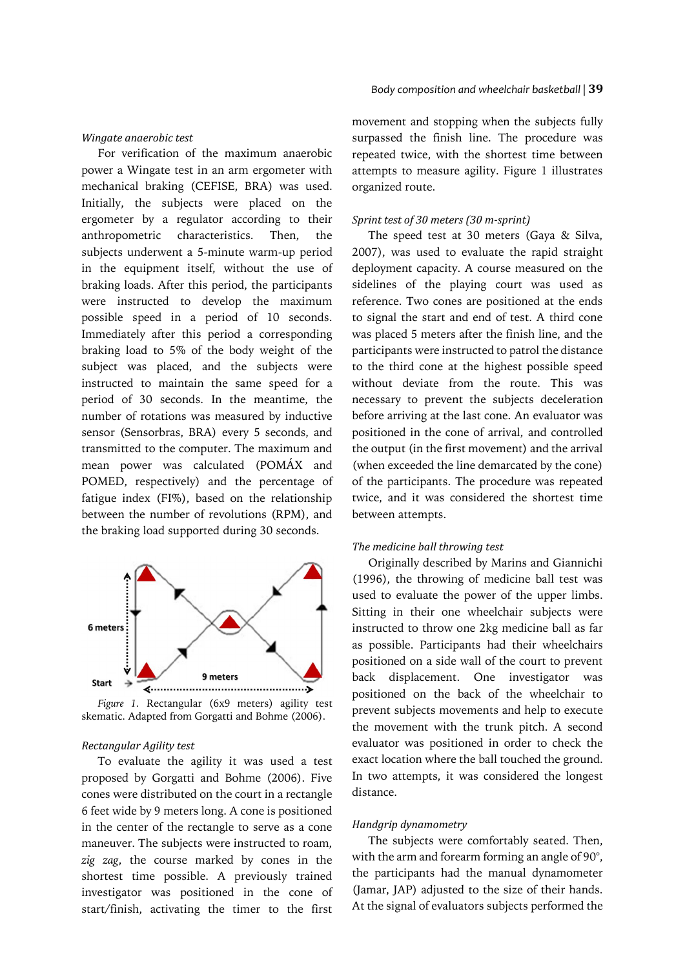#### *Wingate anaerobic test*

For verification of the maximum anaerobic power a Wingate test in an arm ergometer with mechanical braking (CEFISE, BRA) was used. Initially, the subjects were placed on the ergometer by a regulator according to their anthropometric characteristics. Then, the subjects underwent a 5-minute warm-up period in the equipment itself, without the use of braking loads. After this period, the participants were instructed to develop the maximum possible speed in a period of 10 seconds. Immediately after this period a corresponding braking load to 5% of the body weight of the subject was placed, and the subjects were instructed to maintain the same speed for a period of 30 seconds. In the meantime, the number of rotations was measured by inductive sensor (Sensorbras, BRA) every 5 seconds, and transmitted to the computer. The maximum and mean power was calculated (POMÁX and POMED, respectively) and the percentage of fatigue index (FI%), based on the relationship between the number of revolutions (RPM), and the braking load supported during 30 seconds.



*Figure 1.* Rectangular (6x9 meters) agility test skematic. Adapted from Gorgatti and Bohme (2006).

#### *Rectangular Agility test*

To evaluate the agility it was used a test proposed by Gorgatti and Bohme (2006). Five cones were distributed on the court in a rectangle 6 feet wide by 9 meters long. A cone is positioned in the center of the rectangle to serve as a cone maneuver. The subjects were instructed to roam, *zig zag*, the course marked by cones in the shortest time possible. A previously trained investigator was positioned in the cone of start/finish, activating the timer to the first

movement and stopping when the subjects fully surpassed the finish line. The procedure was repeated twice, with the shortest time between attempts to measure agility. Figure 1 illustrates organized route.

### *Sprint test of 30 meters (30 m-sprint)*

The speed test at 30 meters (Gaya & Silva, 2007), was used to evaluate the rapid straight deployment capacity. A course measured on the sidelines of the playing court was used as reference. Two cones are positioned at the ends to signal the start and end of test. A third cone was placed 5 meters after the finish line, and the participants were instructed to patrol the distance to the third cone at the highest possible speed without deviate from the route. This was necessary to prevent the subjects deceleration before arriving at the last cone. An evaluator was positioned in the cone of arrival, and controlled the output (in the first movement) and the arrival (when exceeded the line demarcated by the cone) of the participants. The procedure was repeated twice, and it was considered the shortest time between attempts.

### *The medicine ball throwing test*

Originally described by Marins and Giannichi (1996), the throwing of medicine ball test was used to evaluate the power of the upper limbs. Sitting in their one wheelchair subjects were instructed to throw one 2kg medicine ball as far as possible. Participants had their wheelchairs positioned on a side wall of the court to prevent back displacement. One investigator was positioned on the back of the wheelchair to prevent subjects movements and help to execute the movement with the trunk pitch. A second evaluator was positioned in order to check the exact location where the ball touched the ground. In two attempts, it was considered the longest distance.

### *Handgrip dynamometry*

The subjects were comfortably seated. Then, with the arm and forearm forming an angle of 90°, the participants had the manual dynamometer (Jamar, JAP) adjusted to the size of their hands. At the signal of evaluators subjects performed the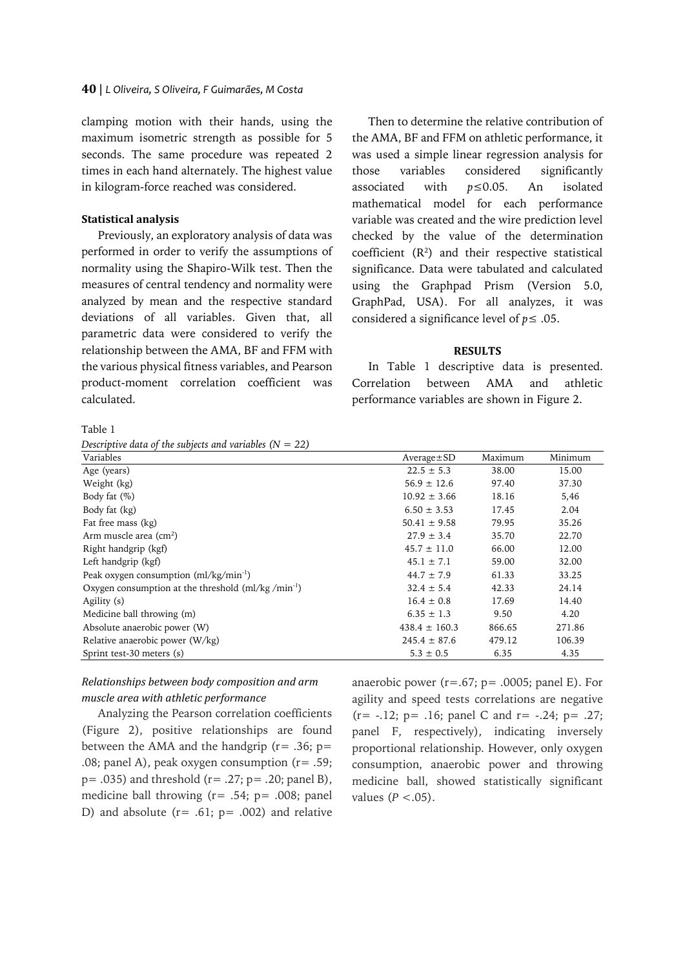clamping motion with their hands, using the maximum isometric strength as possible for 5 seconds. The same procedure was repeated 2 times in each hand alternately. The highest value in kilogram-force reached was considered.

# **Statistical analysis**

Previously, an exploratory analysis of data was performed in order to verify the assumptions of normality using the Shapiro-Wilk test. Then the measures of central tendency and normality were analyzed by mean and the respective standard deviations of all variables. Given that, all parametric data were considered to verify the relationship between the AMA, BF and FFM with the various physical fitness variables, and Pearson product-moment correlation coefficient was calculated.

Then to determine the relative contribution of the AMA, BF and FFM on athletic performance, it was used a simple linear regression analysis for those variables considered significantly associated with *p*≤0.05. An isolated mathematical model for each performance variable was created and the wire prediction level checked by the value of the determination coefficient  $(R^2)$  and their respective statistical significance. Data were tabulated and calculated using the Graphpad Prism (Version 5.0, GraphPad, USA). For all analyzes, it was considered a significance level of  $p \leq .05$ .

### **RESULTS**

In Table 1 descriptive data is presented. Correlation between AMA and athletic performance variables are shown in Figure 2.

Table 1

| Descriptive data of the subjects and variables $(N = 22)$ |  |  |  |  |  |  |
|-----------------------------------------------------------|--|--|--|--|--|--|
|-----------------------------------------------------------|--|--|--|--|--|--|

| Variables                                                      | $Average \pm SD$  | Maximum | Minimum |
|----------------------------------------------------------------|-------------------|---------|---------|
| Age (years)                                                    | $22.5 \pm 5.3$    | 38.00   | 15.00   |
| Weight (kg)                                                    | $56.9 \pm 12.6$   | 97.40   | 37.30   |
| Body fat $(\%)$                                                | $10.92 \pm 3.66$  | 18.16   | 5,46    |
| Body fat (kg)                                                  | $6.50 \pm 3.53$   | 17.45   | 2.04    |
| Fat free mass (kg)                                             | $50.41 \pm 9.58$  | 79.95   | 35.26   |
| Arm muscle area $\text{cm}^2$ )                                | $27.9 \pm 3.4$    | 35.70   | 22.70   |
| Right handgrip (kgf)                                           | $45.7 \pm 11.0$   | 66.00   | 12.00   |
| Left handgrip (kgf)                                            | $45.1 \pm 7.1$    | 59.00   | 32.00   |
| Peak oxygen consumption (ml/kg/min <sup>-1</sup> )             | $44.7 \pm 7.9$    | 61.33   | 33.25   |
| Oxygen consumption at the threshold (ml/kg/min <sup>-1</sup> ) | $32.4 \pm 5.4$    | 42.33   | 24.14   |
| Agility (s)                                                    | $16.4 \pm 0.8$    | 17.69   | 14.40   |
| Medicine ball throwing (m)                                     | $6.35 \pm 1.3$    | 9.50    | 4.20    |
| Absolute anaerobic power (W)                                   | $438.4 \pm 160.3$ | 866.65  | 271.86  |
| Relative anaerobic power (W/kg)                                | $245.4 \pm 87.6$  | 479.12  | 106.39  |
| Sprint test-30 meters (s)                                      | $5.3 \pm 0.5$     | 6.35    | 4.35    |

# *Relationships between body composition and arm muscle area with athletic performance*

Analyzing the Pearson correlation coefficients (Figure 2), positive relationships are found between the AMA and the handgrip ( $r = .36$ ;  $p =$ .08; panel A), peak oxygen consumption (r= .59;  $p = .035$ ) and threshold ( $r = .27$ ;  $p = .20$ ; panel B), medicine ball throwing  $(r= .54; p= .008; p$ anel D) and absolute  $(r=.61; p=.002)$  and relative anaerobic power ( $r = .67$ ;  $p = .0005$ ; panel E). For agility and speed tests correlations are negative  $(r= -.12; p= .16; p$  and  $r= -.24; p= .27;$ panel F, respectively), indicating inversely proportional relationship. However, only oxygen consumption, anaerobic power and throwing medicine ball, showed statistically significant values  $(P < .05)$ .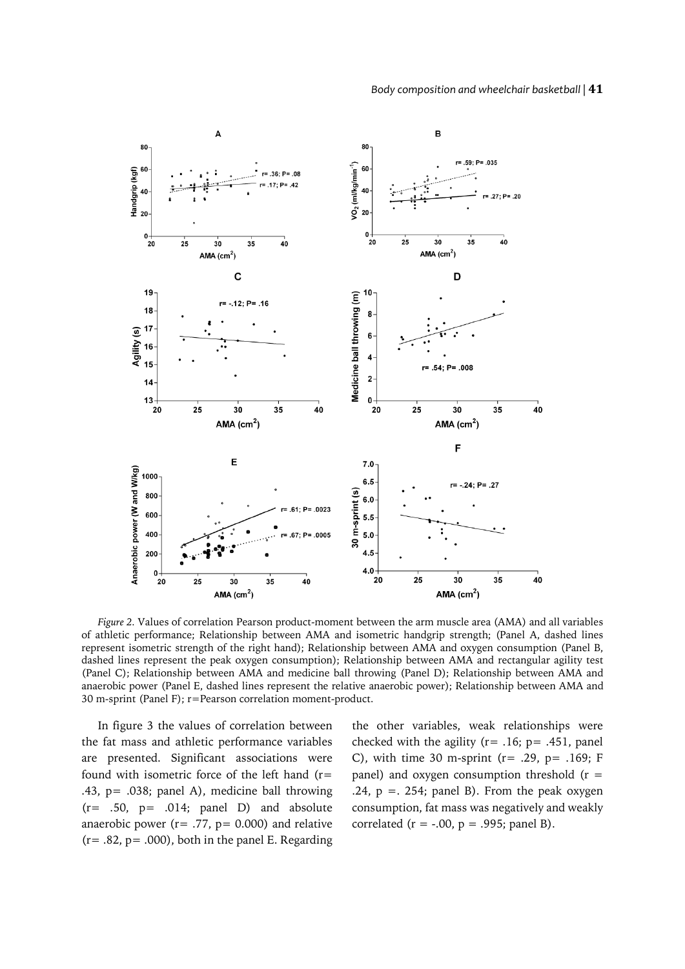#### *Body composition and wheelchair basketball |* **41**



*Figure 2.* Values of correlation Pearson product-moment between the arm muscle area (AMA) and all variables of athletic performance; Relationship between AMA and isometric handgrip strength; (Panel A, dashed lines represent isometric strength of the right hand); Relationship between AMA and oxygen consumption (Panel B, dashed lines represent the peak oxygen consumption); Relationship between AMA and rectangular agility test (Panel C); Relationship between AMA and medicine ball throwing (Panel D); Relationship between AMA and anaerobic power (Panel E, dashed lines represent the relative anaerobic power); Relationship between AMA and 30 m-sprint (Panel F); r=Pearson correlation moment-product.

In figure 3 the values of correlation between the fat mass and athletic performance variables are presented. Significant associations were found with isometric force of the left hand (r= .43, p= .038; panel A), medicine ball throwing  $(r= .50, p= .014; panel D)$  and absolute anaerobic power ( $r = .77$ ,  $p = 0.000$ ) and relative  $(r=.82, p=.000)$ , both in the panel E. Regarding the other variables, weak relationships were checked with the agility ( $r = .16$ ;  $p = .451$ , panel C), with time 30 m-sprint ( $r = .29$ ,  $p = .169$ ; F panel) and oxygen consumption threshold  $(r =$ .24,  $p = 0.254$ ; panel B). From the peak oxygen consumption, fat mass was negatively and weakly correlated ( $r = -.00$ ,  $p = .995$ ; panel B).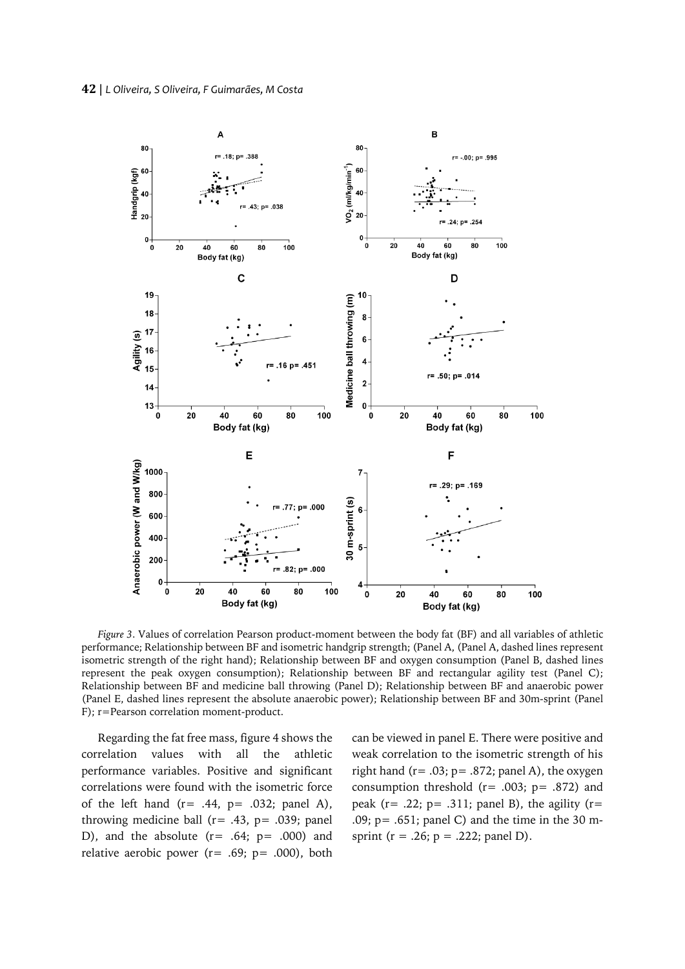

*Figure 3*. Values of correlation Pearson product-moment between the body fat (BF) and all variables of athletic performance; Relationship between BF and isometric handgrip strength; (Panel A, (Panel A, dashed lines represent isometric strength of the right hand); Relationship between BF and oxygen consumption (Panel B, dashed lines represent the peak oxygen consumption); Relationship between BF and rectangular agility test (Panel C); Relationship between BF and medicine ball throwing (Panel D); Relationship between BF and anaerobic power (Panel E, dashed lines represent the absolute anaerobic power); Relationship between BF and 30m-sprint (Panel F); r=Pearson correlation moment-product.

Regarding the fat free mass, figure 4 shows the correlation values with all the athletic performance variables. Positive and significant correlations were found with the isometric force of the left hand  $(r= .44, p= .032;$  panel A), throwing medicine ball ( $r = .43$ ,  $p = .039$ ; panel D), and the absolute  $(r= .64; p= .000)$  and relative aerobic power ( $r = .69$ ;  $p = .000$ ), both can be viewed in panel E. There were positive and weak correlation to the isometric strength of his right hand  $(r=.03; p=.872;$  panel A), the oxygen consumption threshold  $(r=.003; p=.872)$  and peak ( $r = .22$ ;  $p = .311$ ; panel B), the agility ( $r =$ .09;  $p = .651$ ; panel C) and the time in the 30 msprint ( $r = .26$ ;  $p = .222$ ; panel D).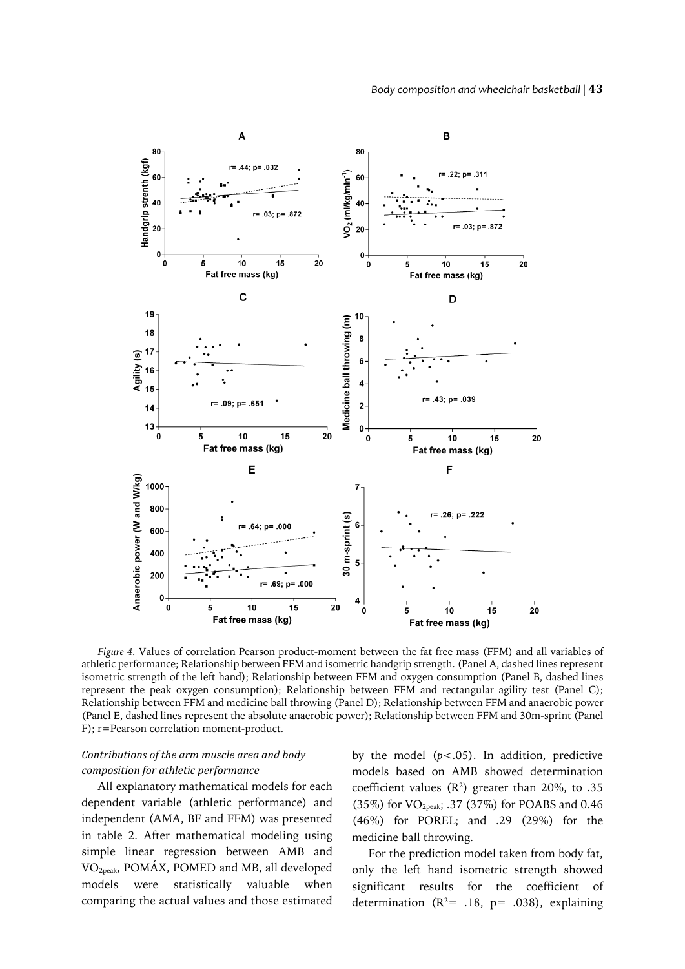

*Figure 4.* Values of correlation Pearson product-moment between the fat free mass (FFM) and all variables of athletic performance; Relationship between FFM and isometric handgrip strength. (Panel A, dashed lines represent isometric strength of the left hand); Relationship between FFM and oxygen consumption (Panel B, dashed lines represent the peak oxygen consumption); Relationship between FFM and rectangular agility test (Panel C); Relationship between FFM and medicine ball throwing (Panel D); Relationship between FFM and anaerobic power (Panel E, dashed lines represent the absolute anaerobic power); Relationship between FFM and 30m-sprint (Panel F); r=Pearson correlation moment-product.

# *Contributions of the arm muscle area and body composition for athletic performance*

All explanatory mathematical models for each dependent variable (athletic performance) and independent (AMA, BF and FFM) was presented in table 2. After mathematical modeling using simple linear regression between AMB and VO2peak, POMÁX, POMED and MB, all developed models were statistically valuable when comparing the actual values and those estimated by the model  $(p<.05)$ . In addition, predictive models based on AMB showed determination coefficient values  $(R^2)$  greater than 20%, to .35 (35%) for VO2peak; .37 (37%) for POABS and 0.46 (46%) for POREL; and .29 (29%) for the medicine ball throwing.

For the prediction model taken from body fat, only the left hand isometric strength showed significant results for the coefficient of determination ( $R^2$ = .18, p= .038), explaining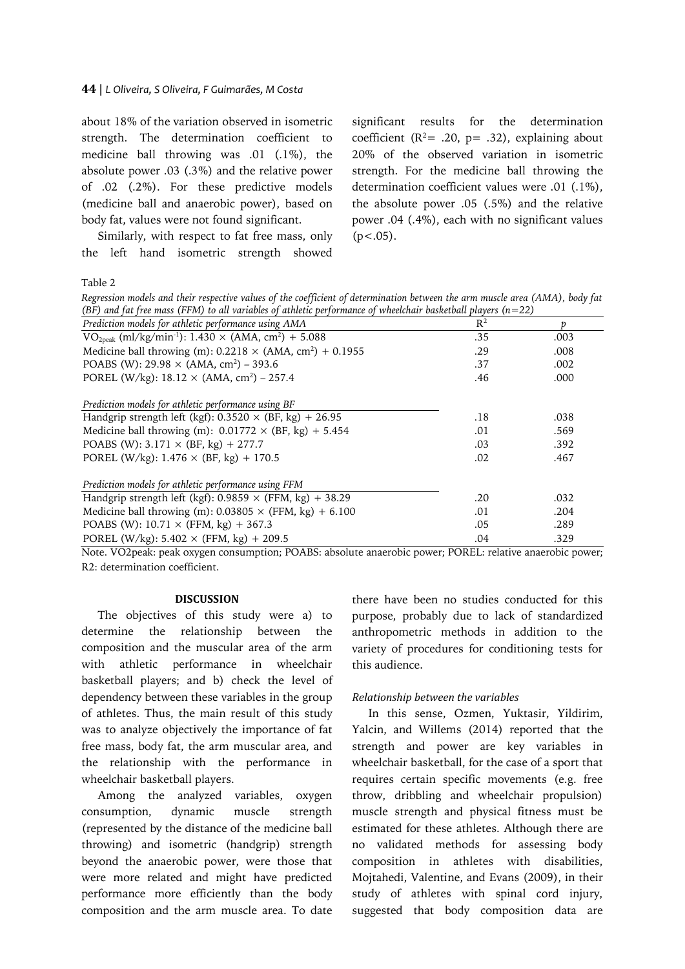### **44** | *L Oliveira, S Oliveira, F Guimarães, M Costa*

about 18% of the variation observed in isometric strength. The determination coefficient to medicine ball throwing was .01 (.1%), the absolute power .03 (.3%) and the relative power of .02 (.2%). For these predictive models (medicine ball and anaerobic power), based on body fat, values were not found significant.

Similarly, with respect to fat free mass, only the left hand isometric strength showed significant results for the determination coefficient ( $R^2$ = .20, p= .32), explaining about 20% of the observed variation in isometric strength. For the medicine ball throwing the determination coefficient values were .01 (.1%), the absolute power .05 (.5%) and the relative power .04 (.4%), each with no significant values  $(p<.05)$ .

Table 2

*Regression models and their respective values of the coefficient of determination between the arm muscle area (AMA), body fat (BF) and fat free mass (FFM) to all variables of athletic performance of wheelchair basketball players (n=22)*

| Prediction models for athletic performance using AMA                          | $R^2$ |      |
|-------------------------------------------------------------------------------|-------|------|
| $VO2peak$ (ml/kg/min <sup>-1</sup> ): 1.430 × (AMA, cm <sup>2</sup> ) + 5.088 | .35   | .003 |
| Medicine ball throwing (m): $0.2218 \times (AMA, cm^2) + 0.1955$              | .29   | .008 |
| POABS (W): $29.98 \times (AMA, cm^2) - 393.6$                                 | .37   | .002 |
| POREL (W/kg): $18.12 \times (AMA, cm^2) - 257.4$                              | .46   | .000 |
| Prediction models for athletic performance using BF                           |       |      |
| Handgrip strength left (kgf): $0.3520 \times (BF, kg) + 26.95$                | .18   | .038 |
| Medicine ball throwing (m): $0.01772 \times (BF, kg) + 5.454$                 | .01   | .569 |
| POABS (W): $3.171 \times (BF, kg) + 277.7$                                    | .03   | .392 |
| POREL (W/kg): $1.476 \times (BF, kg) + 170.5$                                 | .02   | .467 |
| Prediction models for athletic performance using FFM                          |       |      |
| Handgrip strength left (kgf): $0.9859 \times$ (FFM, kg) + 38.29               | .20   | .032 |
| Medicine ball throwing (m): $0.03805 \times$ (FFM, kg) + 6.100                | .01   | .204 |
| POABS (W): $10.71 \times$ (FFM, kg) + 367.3                                   | .05   | .289 |
| POREL (W/kg): $5.402 \times$ (FFM, kg) + 209.5                                | .04   | .329 |
|                                                                               |       |      |

Note. VO2peak: peak oxygen consumption; POABS: absolute anaerobic power; POREL: relative anaerobic power; R2: determination coefficient.

### **DISCUSSION**

The objectives of this study were a) to determine the relationship between the composition and the muscular area of the arm with athletic performance in wheelchair basketball players; and b) check the level of dependency between these variables in the group of athletes. Thus, the main result of this study was to analyze objectively the importance of fat free mass, body fat, the arm muscular area, and the relationship with the performance in wheelchair basketball players.

Among the analyzed variables, oxygen consumption, dynamic muscle strength (represented by the distance of the medicine ball throwing) and isometric (handgrip) strength beyond the anaerobic power, were those that were more related and might have predicted performance more efficiently than the body composition and the arm muscle area. To date

there have been no studies conducted for this purpose, probably due to lack of standardized anthropometric methods in addition to the variety of procedures for conditioning tests for this audience.

### *Relationship between the variables*

In this sense, Ozmen, Yuktasir, Yildirim, Yalcin, and Willems (2014) reported that the strength and power are key variables in wheelchair basketball, for the case of a sport that requires certain specific movements (e.g. free throw, dribbling and wheelchair propulsion) muscle strength and physical fitness must be estimated for these athletes. Although there are no validated methods for assessing body composition in athletes with disabilities, Mojtahedi, Valentine, and Evans (2009), in their study of athletes with spinal cord injury, suggested that body composition data are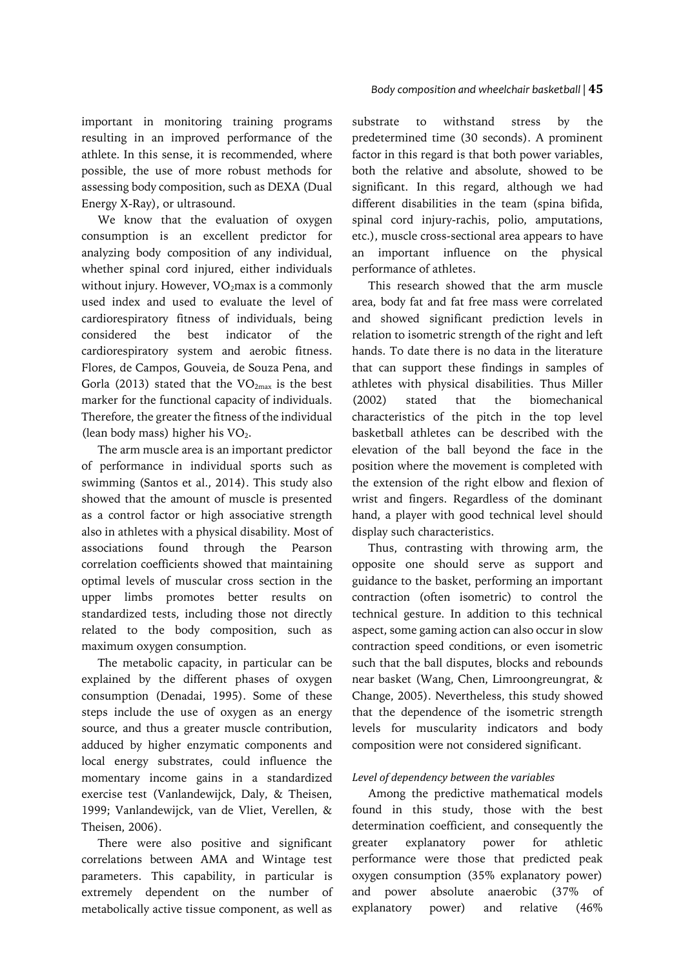important in monitoring training programs resulting in an improved performance of the athlete. In this sense, it is recommended, where possible, the use of more robust methods for assessing body composition, such as DEXA (Dual Energy X-Ray), or ultrasound.

We know that the evaluation of oxygen consumption is an excellent predictor for analyzing body composition of any individual, whether spinal cord injured, either individuals without injury. However,  $VO<sub>2</sub>$ max is a commonly used index and used to evaluate the level of cardiorespiratory fitness of individuals, being considered the best indicator of the cardiorespiratory system and aerobic fitness. Flores, de Campos, Gouveia, de Souza Pena, and Gorla (2013) stated that the  $VO_{2max}$  is the best marker for the functional capacity of individuals. Therefore, the greater the fitness of the individual (lean body mass) higher his  $VO<sub>2</sub>$ .

The arm muscle area is an important predictor of performance in individual sports such as swimming (Santos et al., 2014). This study also showed that the amount of muscle is presented as a control factor or high associative strength also in athletes with a physical disability. Most of associations found through the Pearson correlation coefficients showed that maintaining optimal levels of muscular cross section in the upper limbs promotes better results on standardized tests, including those not directly related to the body composition, such as maximum oxygen consumption.

The metabolic capacity, in particular can be explained by the different phases of oxygen consumption (Denadai, 1995). Some of these steps include the use of oxygen as an energy source, and thus a greater muscle contribution, adduced by higher enzymatic components and local energy substrates, could influence the momentary income gains in a standardized exercise test (Vanlandewijck, Daly, & Theisen, 1999; Vanlandewijck, van de Vliet, Verellen, & Theisen, 2006).

There were also positive and significant correlations between AMA and Wintage test parameters. This capability, in particular is extremely dependent on the number of metabolically active tissue component, as well as

substrate to withstand stress by the predetermined time (30 seconds). A prominent factor in this regard is that both power variables, both the relative and absolute, showed to be significant. In this regard, although we had different disabilities in the team (spina bifida, spinal cord injury-rachis, polio, amputations, etc.), muscle cross-sectional area appears to have an important influence on the physical performance of athletes.

This research showed that the arm muscle area, body fat and fat free mass were correlated and showed significant prediction levels in relation to isometric strength of the right and left hands. To date there is no data in the literature that can support these findings in samples of athletes with physical disabilities. Thus Miller (2002) stated that the biomechanical characteristics of the pitch in the top level basketball athletes can be described with the elevation of the ball beyond the face in the position where the movement is completed with the extension of the right elbow and flexion of wrist and fingers. Regardless of the dominant hand, a player with good technical level should display such characteristics.

Thus, contrasting with throwing arm, the opposite one should serve as support and guidance to the basket, performing an important contraction (often isometric) to control the technical gesture. In addition to this technical aspect, some gaming action can also occur in slow contraction speed conditions, or even isometric such that the ball disputes, blocks and rebounds near basket (Wang, Chen, Limroongreungrat, & Change, 2005). Nevertheless, this study showed that the dependence of the isometric strength levels for muscularity indicators and body composition were not considered significant.

# *Level of dependency between the variables*

Among the predictive mathematical models found in this study, those with the best determination coefficient, and consequently the greater explanatory power for athletic performance were those that predicted peak oxygen consumption (35% explanatory power) and power absolute anaerobic (37% of explanatory power) and relative (46%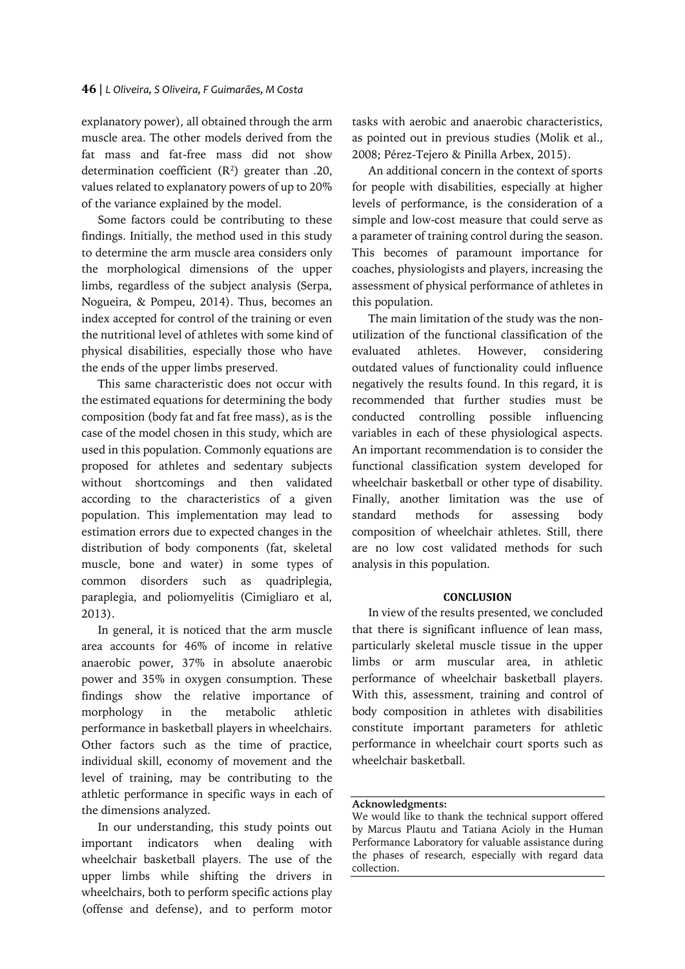explanatory power), all obtained through the arm muscle area. The other models derived from the fat mass and fat-free mass did not show determination coefficient  $(R^2)$  greater than .20, values related to explanatory powers of up to 20% of the variance explained by the model.

Some factors could be contributing to these findings. Initially, the method used in this study to determine the arm muscle area considers only the morphological dimensions of the upper limbs, regardless of the subject analysis (Serpa, Nogueira, & Pompeu, 2014). Thus, becomes an index accepted for control of the training or even the nutritional level of athletes with some kind of physical disabilities, especially those who have the ends of the upper limbs preserved.

This same characteristic does not occur with the estimated equations for determining the body composition (body fat and fat free mass), as is the case of the model chosen in this study, which are used in this population. Commonly equations are proposed for athletes and sedentary subjects without shortcomings and then validated according to the characteristics of a given population. This implementation may lead to estimation errors due to expected changes in the distribution of body components (fat, skeletal muscle, bone and water) in some types of common disorders such as quadriplegia, paraplegia, and poliomyelitis (Cimigliaro et al, 2013).

In general, it is noticed that the arm muscle area accounts for 46% of income in relative anaerobic power, 37% in absolute anaerobic power and 35% in oxygen consumption. These findings show the relative importance of morphology in the metabolic athletic performance in basketball players in wheelchairs. Other factors such as the time of practice, individual skill, economy of movement and the level of training, may be contributing to the athletic performance in specific ways in each of the dimensions analyzed.

In our understanding, this study points out important indicators when dealing with wheelchair basketball players. The use of the upper limbs while shifting the drivers in wheelchairs, both to perform specific actions play (offense and defense), and to perform motor

tasks with aerobic and anaerobic characteristics, as pointed out in previous studies (Molik et al., 2008; Pérez-Tejero & Pinilla Arbex, 2015).

An additional concern in the context of sports for people with disabilities, especially at higher levels of performance, is the consideration of a simple and low-cost measure that could serve as a parameter of training control during the season. This becomes of paramount importance for coaches, physiologists and players, increasing the assessment of physical performance of athletes in this population.

The main limitation of the study was the nonutilization of the functional classification of the evaluated athletes. However, considering outdated values of functionality could influence negatively the results found. In this regard, it is recommended that further studies must be conducted controlling possible influencing variables in each of these physiological aspects. An important recommendation is to consider the functional classification system developed for wheelchair basketball or other type of disability. Finally, another limitation was the use of standard methods for assessing body composition of wheelchair athletes. Still, there are no low cost validated methods for such analysis in this population.

### **CONCLUSION**

In view of the results presented, we concluded that there is significant influence of lean mass, particularly skeletal muscle tissue in the upper limbs or arm muscular area, in athletic performance of wheelchair basketball players. With this, assessment, training and control of body composition in athletes with disabilities constitute important parameters for athletic performance in wheelchair court sports such as wheelchair basketball.

#### **Acknowledgments:**

We would like to thank the technical support offered by Marcus Plautu and Tatiana Acioly in the Human Performance Laboratory for valuable assistance during the phases of research, especially with regard data collection.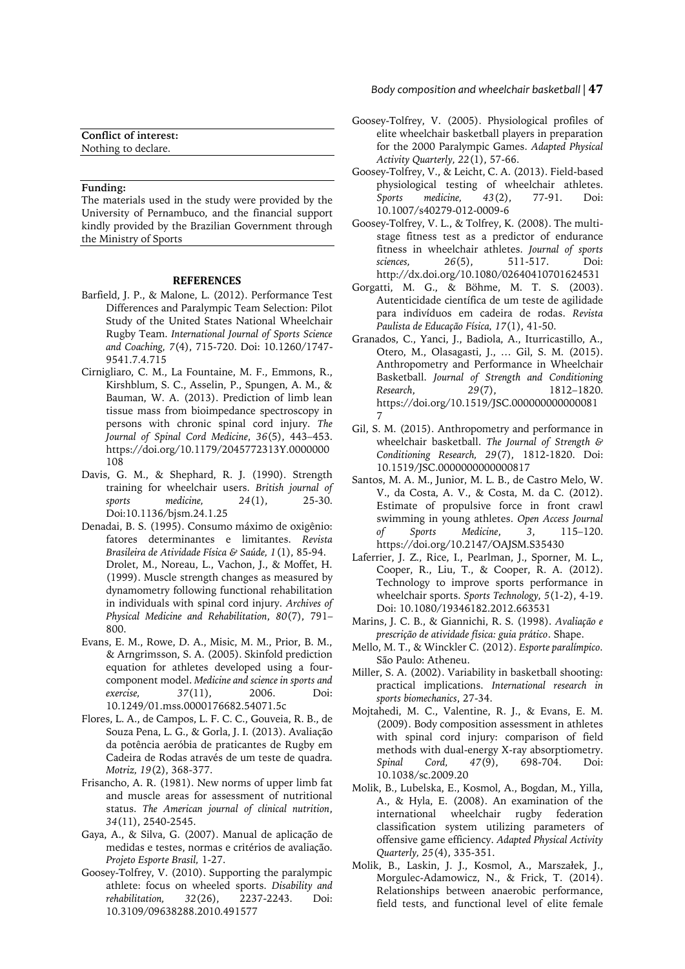| Conflict of interest: |  |
|-----------------------|--|
| Nothing to declare.   |  |

#### **Funding:**

The materials used in the study were provided by the University of Pernambuco, and the financial support kindly provided by the Brazilian Government through the Ministry of Sports

#### **REFERENCES**

- Barfield, J. P., & Malone, L. (2012). Performance Test Differences and Paralympic Team Selection: Pilot Study of the United States National Wheelchair Rugby Team. *International Journal of Sports Science and Coaching, 7*(4), 715-720. Doi: 10.1260/1747- 9541.7.4.715
- Cirnigliaro, C. M., La Fountaine, M. F., Emmons, R., Kirshblum, S. C., Asselin, P., Spungen, A. M., & Bauman, W. A. (2013). Prediction of limb lean tissue mass from bioimpedance spectroscopy in persons with chronic spinal cord injury. *The Journal of Spinal Cord Medicine*, *36*(5), 443–453. https://doi.org/10.1179/2045772313Y.0000000 108
- Davis, G. M., & Shephard, R. J. (1990). Strength training for wheelchair users. *British journal of sports medicine, 24*(1), 25-30. Doi:10.1136/bjsm.24.1.25
- Denadai, B. S. (1995). Consumo máximo de oxigênio: fatores determinantes e limitantes. *Revista Brasileira de Atividade Física & Saúde, 1*(1), 85-94. Drolet, M., Noreau, L., Vachon, J., & Moffet, H. (1999). Muscle strength changes as measured by dynamometry following functional rehabilitation in individuals with spinal cord injury. *Archives of Physical Medicine and Rehabilitation*, *80*(7), 791– 800.
- Evans, E. M., Rowe, D. A., Misic, M. M., Prior, B. M., & Arngrimsson, S. A. (2005). Skinfold prediction equation for athletes developed using a fourcomponent model. *Medicine and science in sports and exercise, 37*(11), 2006. Doi: 10.1249/01.mss.0000176682.54071.5c
- Flores, L. A., de Campos, L. F. C. C., Gouveia, R. B., de Souza Pena, L. G., & Gorla, J. I. (2013). Avaliação da potência aeróbia de praticantes de Rugby em Cadeira de Rodas através de um teste de quadra. *Motriz, 19*(2), 368-377.
- Frisancho, A. R. (1981). New norms of upper limb fat and muscle areas for assessment of nutritional status. *The American journal of clinical nutrition*, *34*(11), 2540-2545.
- Gaya, A., & Silva, G. (2007). Manual de aplicação de medidas e testes, normas e critérios de avaliação. *Projeto Esporte Brasil,* 1-27.
- Goosey-Tolfrey, V. (2010). Supporting the paralympic athlete: focus on wheeled sports. *Disability and rehabilitation, 32*(26), 2237-2243. Doi: 10.3109/09638288.2010.491577

*Body composition and wheelchair basketball |* **47**

- Goosey-Tolfrey, V. (2005). Physiological profiles of elite wheelchair basketball players in preparation for the 2000 Paralympic Games. *Adapted Physical Activity Quarterly, 22*(1), 57-66.
- Goosey-Tolfrey, V., & Leicht, C. A. (2013). Field-based physiological testing of wheelchair athletes. *Sports medicine, 43*(2), 77-91. Doi: 10.1007/s40279-012-0009-6
- Goosey-Tolfrey, V. L., & Tolfrey, K. (2008). The multistage fitness test as a predictor of endurance fitness in wheelchair athletes. *Journal of sports sciences, 26*(5), 511-517. Doi: http://dx.doi.org/10.1080/02640410701624531
- Gorgatti, M. G., & Böhme, M. T. S. (2003). Autenticidade científica de um teste de agilidade para indivíduos em cadeira de rodas. *Revista Paulista de Educação Física, 17*(1), 41-50.
- Granados, C., Yanci, J., Badiola, A., Iturricastillo, A., Otero, M., Olasagasti, J., … Gil, S. M. (2015). Anthropometry and Performance in Wheelchair Basketball. *Journal of Strength and Conditioning Research*, *29*(7), 1812–1820. https://doi.org/10.1519/JSC.000000000000081 7
- Gil, S. M. (2015). Anthropometry and performance in wheelchair basketball. *The Journal of Strength & Conditioning Research, 29*(7), 1812-1820. Doi: 10.1519/JSC.0000000000000817
- Santos, M. A. M., Junior, M. L. B., de Castro Melo, W. V., da Costa, A. V., & Costa, M. da C. (2012). Estimate of propulsive force in front crawl swimming in young athletes. *Open Access Journal of* Sports Medicine, 3, https://doi.org/10.2147/OAJSM.S35430
- Laferrier, J. Z., Rice, I., Pearlman, J., Sporner, M. L., Cooper, R., Liu, T., & Cooper, R. A. (2012). Technology to improve sports performance in wheelchair sports. *Sports Technology, 5*(1-2), 4-19. Doi: 10.1080/19346182.2012.663531
- Marins, J. C. B., & Giannichi, R. S. (1998). *Avaliação e prescrição de atividade física: guia prático*. Shape.
- Mello, M. T., & Winckler C. (2012). *Esporte paralímpico.* São Paulo: Atheneu.
- Miller, S. A. (2002). Variability in basketball shooting: practical implications. *International research in sports biomechanics*, 27-34.
- Mojtahedi, M. C., Valentine, R. J., & Evans, E. M. (2009). Body composition assessment in athletes with spinal cord injury: comparison of field methods with dual-energy X-ray absorptiometry. *Spinal Cord, 47*(9), 698-704. Doi: 10.1038/sc.2009.20
- Molik, B., Lubelska, E., Kosmol, A., Bogdan, M., Yilla, A., & Hyla, E. (2008). An examination of the international wheelchair rugby federation classification system utilizing parameters of offensive game efficiency. *Adapted Physical Activity Quarterly, 25*(4), 335-351.
- Molik, B., Laskin, J. J., Kosmol, A., Marszałek, J., Morgulec-Adamowicz, N., & Frick, T. (2014). Relationships between anaerobic performance, field tests, and functional level of elite female